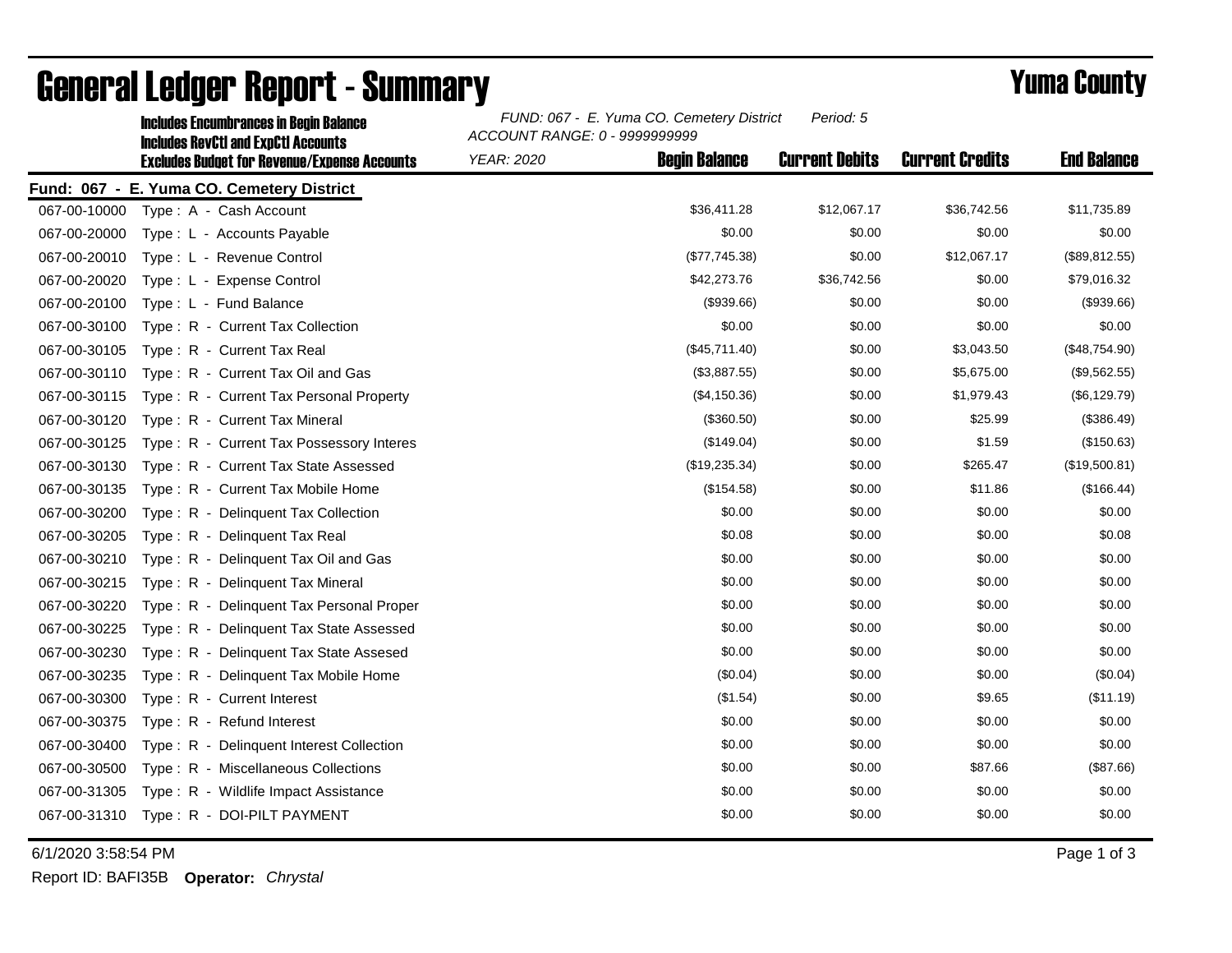| <b>Includes Encumbrances in Begin Balance</b><br><b>Includes RevCtI and ExpCtI Accounts</b><br><b>Excludes Budget for Revenue/Expense Accounts</b> | FUND: 067 - E. Yuma CO. Cemetery District<br>Period: 5<br>ACCOUNT RANGE: 0 - 9999999999 |                      |                       |                        |                    |
|----------------------------------------------------------------------------------------------------------------------------------------------------|-----------------------------------------------------------------------------------------|----------------------|-----------------------|------------------------|--------------------|
|                                                                                                                                                    | <b>YEAR: 2020</b>                                                                       | <b>Begin Balance</b> | <b>Current Debits</b> | <b>Current Credits</b> | <b>End Balance</b> |
| Fund: 067 - E. Yuma CO. Cemetery District                                                                                                          |                                                                                         |                      |                       |                        |                    |
| 067-00-10000<br>Type: A - Cash Account                                                                                                             |                                                                                         | \$36,411.28          | \$12,067.17           | \$36,742.56            | \$11,735.89        |
| 067-00-20000<br>Type: L - Accounts Payable                                                                                                         |                                                                                         | \$0.00               | \$0.00                | \$0.00                 | \$0.00             |
| Type: L - Revenue Control<br>067-00-20010                                                                                                          |                                                                                         | (\$77,745.38)        | \$0.00                | \$12,067.17            | (\$89, 812.55)     |
| 067-00-20020<br>Type: L - Expense Control                                                                                                          |                                                                                         | \$42,273.76          | \$36,742.56           | \$0.00                 | \$79,016.32        |
| 067-00-20100<br>Type: L - Fund Balance                                                                                                             |                                                                                         | (\$939.66)           | \$0.00                | \$0.00                 | (\$939.66)         |
| 067-00-30100<br>Type: R - Current Tax Collection                                                                                                   |                                                                                         | \$0.00               | \$0.00                | \$0.00                 | \$0.00             |
| 067-00-30105<br>Type: R - Current Tax Real                                                                                                         |                                                                                         | (\$45,711.40)        | \$0.00                | \$3,043.50             | (\$48,754.90)      |
| 067-00-30110<br>Type: R - Current Tax Oil and Gas                                                                                                  |                                                                                         | (\$3,887.55)         | \$0.00                | \$5,675.00             | (\$9,562.55)       |
| 067-00-30115<br>Type: R - Current Tax Personal Property                                                                                            |                                                                                         | (\$4,150.36)         | \$0.00                | \$1,979.43             | (\$6, 129.79)      |
| 067-00-30120<br>Type: R - Current Tax Mineral                                                                                                      |                                                                                         | (\$360.50)           | \$0.00                | \$25.99                | (\$386.49)         |
| 067-00-30125<br>Type: R - Current Tax Possessory Interes                                                                                           |                                                                                         | (\$149.04)           | \$0.00                | \$1.59                 | (\$150.63)         |
| 067-00-30130<br>Type: R - Current Tax State Assessed                                                                                               |                                                                                         | (\$19,235.34)        | \$0.00                | \$265.47               | (\$19,500.81)      |
| 067-00-30135<br>Type: R - Current Tax Mobile Home                                                                                                  |                                                                                         | (\$154.58)           | \$0.00                | \$11.86                | (\$166.44)         |
| 067-00-30200<br>Type: R - Delinquent Tax Collection                                                                                                |                                                                                         | \$0.00               | \$0.00                | \$0.00                 | \$0.00             |
| 067-00-30205<br>Type: R - Delinquent Tax Real                                                                                                      |                                                                                         | \$0.08               | \$0.00                | \$0.00                 | \$0.08             |
| 067-00-30210<br>Type: R - Delinquent Tax Oil and Gas                                                                                               |                                                                                         | \$0.00               | \$0.00                | \$0.00                 | \$0.00             |
| 067-00-30215<br>Type: R - Delinquent Tax Mineral                                                                                                   |                                                                                         | \$0.00               | \$0.00                | \$0.00                 | \$0.00             |
| 067-00-30220<br>Type: R - Delinguent Tax Personal Proper                                                                                           |                                                                                         | \$0.00               | \$0.00                | \$0.00                 | \$0.00             |
| 067-00-30225<br>Type: R - Delinquent Tax State Assessed                                                                                            |                                                                                         | \$0.00               | \$0.00                | \$0.00                 | \$0.00             |
| 067-00-30230<br>Type: R - Delinguent Tax State Assesed                                                                                             |                                                                                         | \$0.00               | \$0.00                | \$0.00                 | \$0.00             |
| 067-00-30235<br>Type: R - Delinquent Tax Mobile Home                                                                                               |                                                                                         | (\$0.04)             | \$0.00                | \$0.00                 | (\$0.04)           |
| 067-00-30300<br>Type: R - Current Interest                                                                                                         |                                                                                         | (\$1.54)             | \$0.00                | \$9.65                 | (\$11.19)          |
| 067-00-30375<br>Type: R - Refund Interest                                                                                                          |                                                                                         | \$0.00               | \$0.00                | \$0.00                 | \$0.00             |
| 067-00-30400<br>Type: R - Delinquent Interest Collection                                                                                           |                                                                                         | \$0.00               | \$0.00                | \$0.00                 | \$0.00             |
| 067-00-30500<br>Type: R - Miscellaneous Collections                                                                                                |                                                                                         | \$0.00               | \$0.00                | \$87.66                | (\$87.66)          |
| 067-00-31305<br>Type: R - Wildlife Impact Assistance                                                                                               |                                                                                         | \$0.00               | \$0.00                | \$0.00                 | \$0.00             |
| 067-00-31310<br>Type: R - DOI-PILT PAYMENT                                                                                                         |                                                                                         | \$0.00               | \$0.00                | \$0.00                 | \$0.00             |

## General Ledger Report - Summary **Example 2018** Yuma County

6/1/2020 3:58:54 PM Page 1 of 3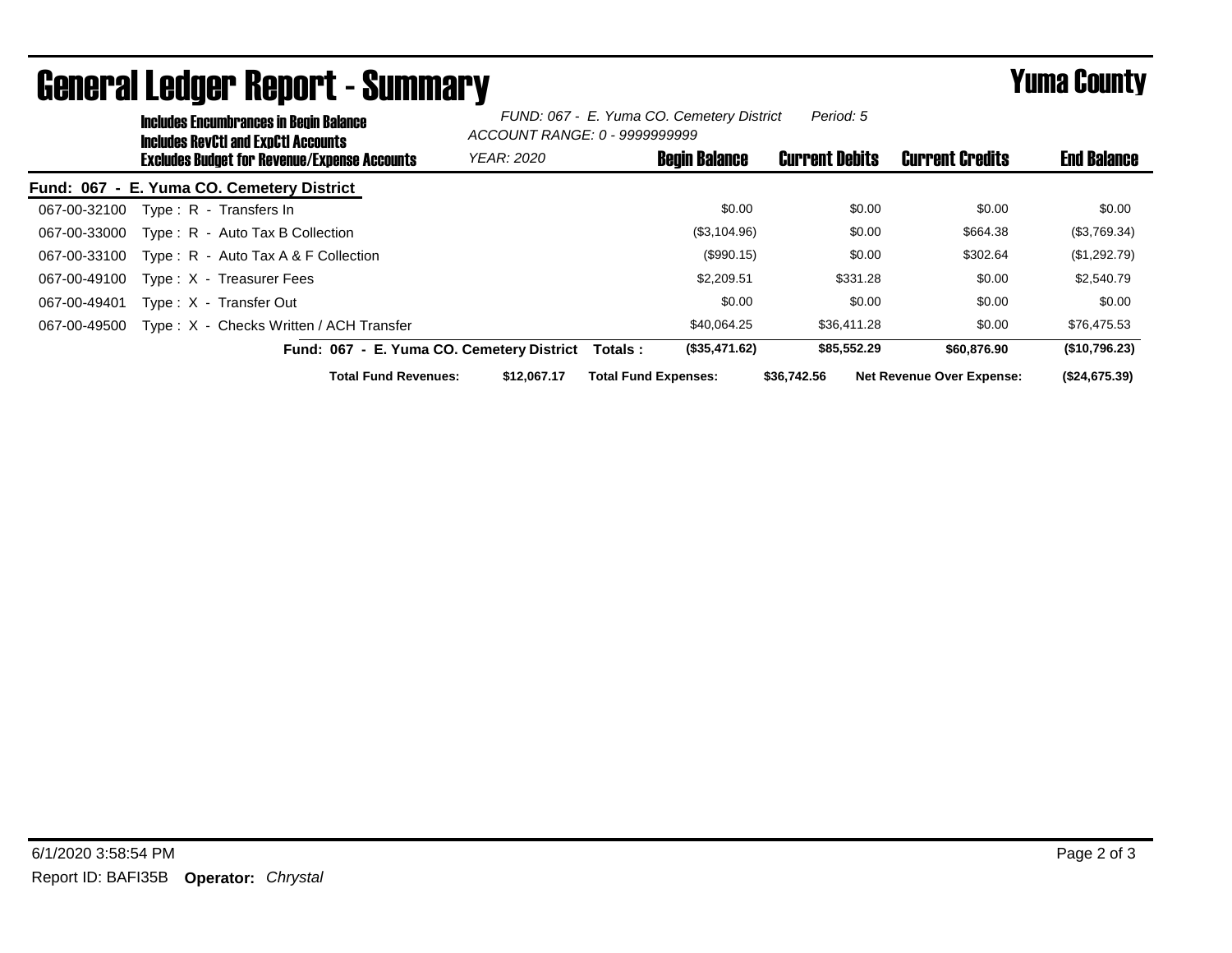| <b>Includes Encumbrances in Begin Balance</b><br><b>Includes RevCtI and ExpCtI Accounts</b> | FUND: 067 - E. Yuma CO. Cemetery District<br>Period: 5<br>ACCOUNT RANGE: 0 - 9999999999 |                             |                       |                                  |                    |  |
|---------------------------------------------------------------------------------------------|-----------------------------------------------------------------------------------------|-----------------------------|-----------------------|----------------------------------|--------------------|--|
| <b>Excludes Budget for Revenue/Expense Accounts</b>                                         | <b>YEAR: 2020</b>                                                                       | <b>Begin Balance</b>        | <b>Current Debits</b> | <b>Current Credits</b>           | <b>End Balance</b> |  |
| Fund: 067 - E. Yuma CO. Cemetery District                                                   |                                                                                         |                             |                       |                                  |                    |  |
| Type: R - Transfers In<br>067-00-32100                                                      |                                                                                         | \$0.00                      | \$0.00                | \$0.00                           | \$0.00             |  |
| Type: R - Auto Tax B Collection<br>067-00-33000                                             |                                                                                         | (\$3,104.96)                | \$0.00                | \$664.38                         | (\$3,769.34)       |  |
| Type: $R -$ Auto Tax A & F Collection<br>067-00-33100                                       |                                                                                         | (\$990.15)                  | \$0.00                | \$302.64                         | (\$1,292.79)       |  |
| Type: X - Treasurer Fees<br>067-00-49100                                                    |                                                                                         | \$2,209.51                  | \$331.28              | \$0.00                           | \$2,540.79         |  |
| Type: X - Transfer Out<br>067-00-49401                                                      |                                                                                         | \$0.00                      | \$0.00                | \$0.00                           | \$0.00             |  |
| Type: X - Checks Written / ACH Transfer<br>067-00-49500                                     |                                                                                         | \$40.064.25                 | \$36,411.28           | \$0.00                           | \$76,475.53        |  |
| Fund: 067 - E. Yuma CO. Cemetery District                                                   |                                                                                         | (\$35,471.62)<br>Totals:    | \$85,552.29           | \$60,876.90                      | (\$10,796.23)      |  |
| <b>Total Fund Revenues:</b>                                                                 | \$12.067.17                                                                             | <b>Total Fund Expenses:</b> | \$36,742.56           | <b>Net Revenue Over Expense:</b> | (\$24,675.39)      |  |

## General Ledger Report - Summary **Example 2018** Yuma County